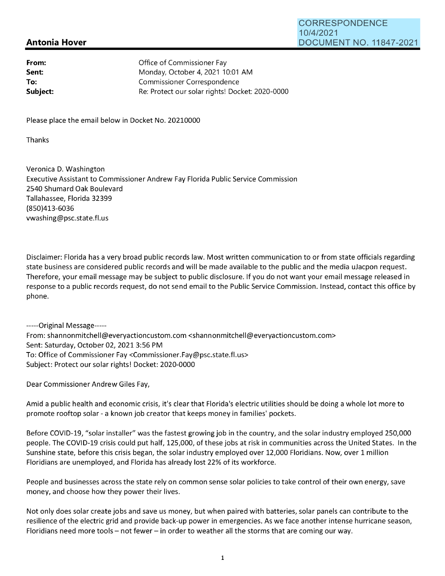## **Antonia Hover**

| From:    | Office of Commissioner Fay                      |
|----------|-------------------------------------------------|
| Sent:    | Monday, October 4, 2021 10:01 AM                |
| To:      | Commissioner Correspondence                     |
| Subject: | Re: Protect our solar rights! Docket: 2020-0000 |

Please place the email below in Docket No. 20210000

Thanks

Veronica D. Washington Executive Assistant to Commissioner Andrew Fay Florida Public Service Commission 2540 Shumard Oak Boulevard Tallahassee, Florida 32399 (850)413-6036 vwashing@psc.state.fl.us

Disclaimer: Florida has a very broad public records law. Most written communication to or from state officials regarding state business are considered public records and will be made available to the public and the media uJacpon request. Therefore, your email message may be subject to public disclosure. If you do not want your email message released in response to a public records request, do not send email to the Public Service Commission. Instead, contact this office by phone.

-----Original Message----- From: shannonmitchell@everyactioncustom.com <shannonmitchell@everyactioncustom.com> Sent: Saturday, October 02, 2021 3:56 PM To: Office of Commissioner Fay <Commissioner.Fay@psc.state.fl.us> Subject: Protect our solar rights! Docket: 2020-0000

Dear Commissioner Andrew Giles Fay,

Amid a public health and economic crisis, it's clear that Florida's electric utilities should be doing a whole lot more to promote rooftop solar - a known job creator that keeps money in families' pockets.

Before COVID-19, "solar installer" was the fastest growing job in the country, and the solar industry employed 250,000 people. The COVID-19 crisis could put half, 125,000, of these jobs at risk in communities across the United States. In the Sunshine state, before this crisis began, the solar industry employed over 12,000 Floridians. Now, over 1 million Floridians are unemployed, and Florida has already lost 22% of its workforce.

People and businesses across the state rely on common sense solar policies to take control of their own energy, save money, and choose how they power their lives.

Not only does solar create jobs and save us money, but when paired with batteries, solar panels can contribute to the resilience of the electric grid and provide back-up power in emergencies. As we face another intense hurricane season, Floridians need more tools - not fewer - in order to weather all the storms that are coming our way.